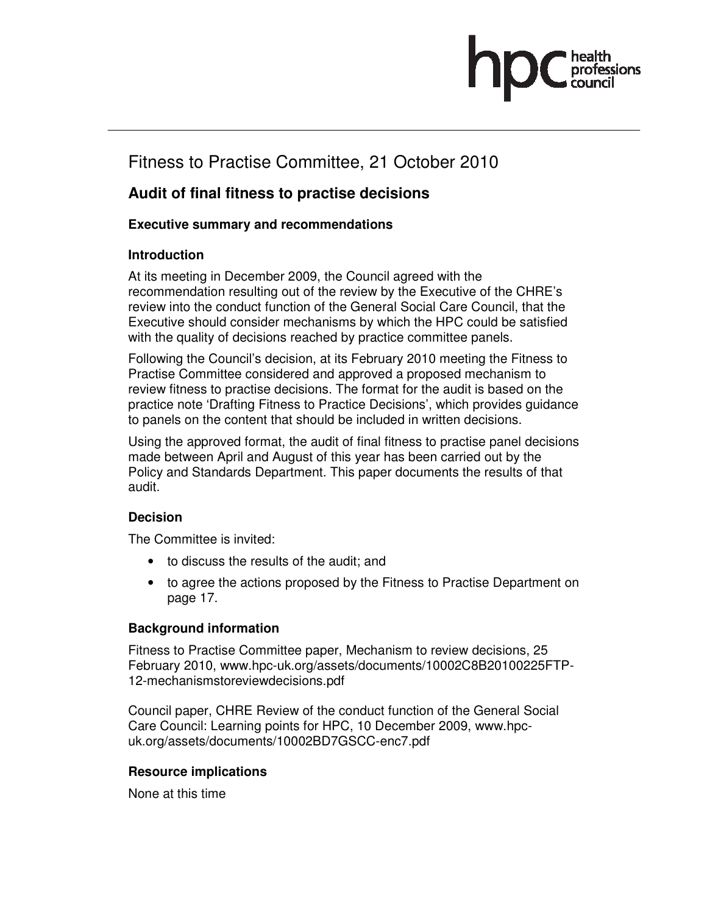# Fitness to Practise Committee, 21 October 2010

### **Audit of final fitness to practise decisions**

### **Executive summary and recommendations**

#### **Introduction**

At its meeting in December 2009, the Council agreed with the recommendation resulting out of the review by the Executive of the CHRE's review into the conduct function of the General Social Care Council, that the Executive should consider mechanisms by which the HPC could be satisfied with the quality of decisions reached by practice committee panels.

Following the Council's decision, at its February 2010 meeting the Fitness to Practise Committee considered and approved a proposed mechanism to review fitness to practise decisions. The format for the audit is based on the practice note 'Drafting Fitness to Practice Decisions', which provides guidance to panels on the content that should be included in written decisions.

Using the approved format, the audit of final fitness to practise panel decisions made between April and August of this year has been carried out by the Policy and Standards Department. This paper documents the results of that audit.

#### **Decision**

The Committee is invited:

- to discuss the results of the audit; and
- to agree the actions proposed by the Fitness to Practise Department on page 17.

#### **Background information**

Fitness to Practise Committee paper, Mechanism to review decisions, 25 February 2010, www.hpc-uk.org/assets/documents/10002C8B20100225FTP-12-mechanismstoreviewdecisions.pdf

Council paper, CHRE Review of the conduct function of the General Social Care Council: Learning points for HPC, 10 December 2009, www.hpcuk.org/assets/documents/10002BD7GSCC-enc7.pdf

#### **Resource implications**

None at this time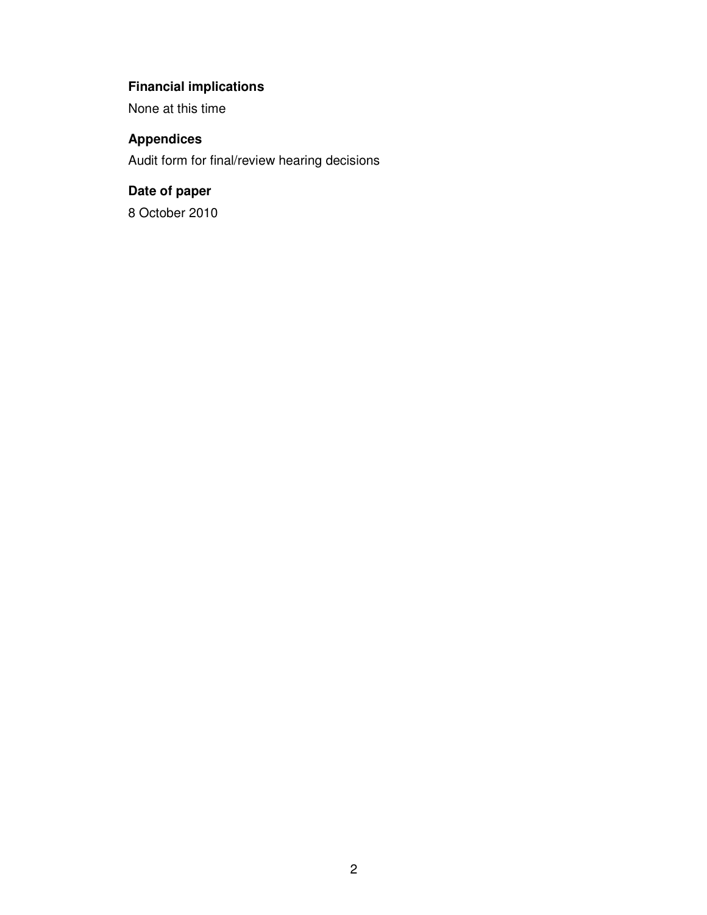## **Financial implications**

None at this time

### **Appendices**

Audit form for final/review hearing decisions

### **Date of paper**

8 October 2010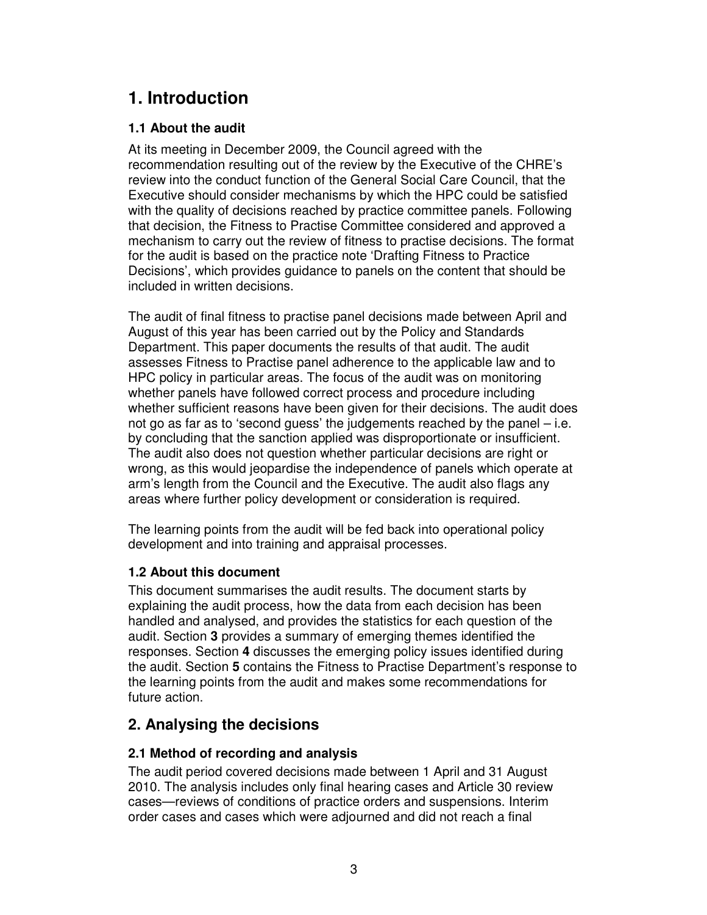# **1. Introduction**

### **1.1 About the audit**

At its meeting in December 2009, the Council agreed with the recommendation resulting out of the review by the Executive of the CHRE's review into the conduct function of the General Social Care Council, that the Executive should consider mechanisms by which the HPC could be satisfied with the quality of decisions reached by practice committee panels. Following that decision, the Fitness to Practise Committee considered and approved a mechanism to carry out the review of fitness to practise decisions. The format for the audit is based on the practice note 'Drafting Fitness to Practice Decisions', which provides guidance to panels on the content that should be included in written decisions.

The audit of final fitness to practise panel decisions made between April and August of this year has been carried out by the Policy and Standards Department. This paper documents the results of that audit. The audit assesses Fitness to Practise panel adherence to the applicable law and to HPC policy in particular areas. The focus of the audit was on monitoring whether panels have followed correct process and procedure including whether sufficient reasons have been given for their decisions. The audit does not go as far as to 'second guess' the judgements reached by the panel – i.e. by concluding that the sanction applied was disproportionate or insufficient. The audit also does not question whether particular decisions are right or wrong, as this would jeopardise the independence of panels which operate at arm's length from the Council and the Executive. The audit also flags any areas where further policy development or consideration is required.

The learning points from the audit will be fed back into operational policy development and into training and appraisal processes.

### **1.2 About this document**

This document summarises the audit results. The document starts by explaining the audit process, how the data from each decision has been handled and analysed, and provides the statistics for each question of the audit. Section **3** provides a summary of emerging themes identified the responses. Section **4** discusses the emerging policy issues identified during the audit. Section **5** contains the Fitness to Practise Department's response to the learning points from the audit and makes some recommendations for future action.

### **2. Analysing the decisions**

### **2.1 Method of recording and analysis**

The audit period covered decisions made between 1 April and 31 August 2010. The analysis includes only final hearing cases and Article 30 review cases—reviews of conditions of practice orders and suspensions. Interim order cases and cases which were adjourned and did not reach a final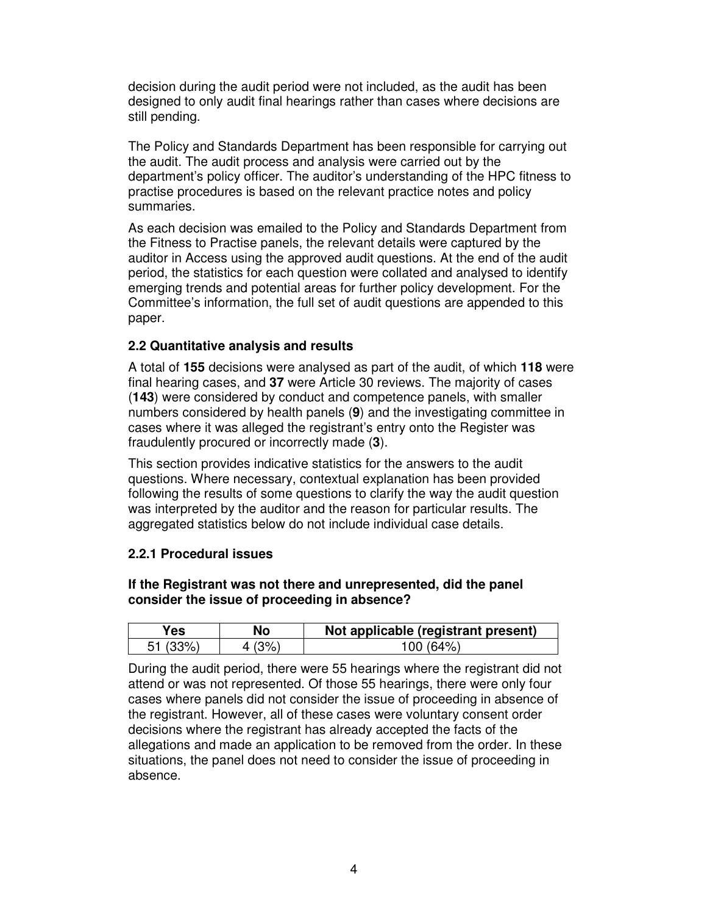decision during the audit period were not included, as the audit has been designed to only audit final hearings rather than cases where decisions are still pending.

The Policy and Standards Department has been responsible for carrying out the audit. The audit process and analysis were carried out by the department's policy officer. The auditor's understanding of the HPC fitness to practise procedures is based on the relevant practice notes and policy summaries.

As each decision was emailed to the Policy and Standards Department from the Fitness to Practise panels, the relevant details were captured by the auditor in Access using the approved audit questions. At the end of the audit period, the statistics for each question were collated and analysed to identify emerging trends and potential areas for further policy development. For the Committee's information, the full set of audit questions are appended to this paper.

#### **2.2 Quantitative analysis and results**

A total of **155** decisions were analysed as part of the audit, of which **118** were final hearing cases, and **37** were Article 30 reviews. The majority of cases (**143**) were considered by conduct and competence panels, with smaller numbers considered by health panels (**9**) and the investigating committee in cases where it was alleged the registrant's entry onto the Register was fraudulently procured or incorrectly made (**3**).

This section provides indicative statistics for the answers to the audit questions. Where necessary, contextual explanation has been provided following the results of some questions to clarify the way the audit question was interpreted by the auditor and the reason for particular results. The aggregated statistics below do not include individual case details.

#### **2.2.1 Procedural issues**

#### **If the Registrant was not there and unrepresented, did the panel consider the issue of proceeding in absence?**

| ′es∶           | No | Not applicable (registrant present) |
|----------------|----|-------------------------------------|
| 51.<br>$(33\%$ |    | $100(64\%)$                         |

During the audit period, there were 55 hearings where the registrant did not attend or was not represented. Of those 55 hearings, there were only four cases where panels did not consider the issue of proceeding in absence of the registrant. However, all of these cases were voluntary consent order decisions where the registrant has already accepted the facts of the allegations and made an application to be removed from the order. In these situations, the panel does not need to consider the issue of proceeding in absence.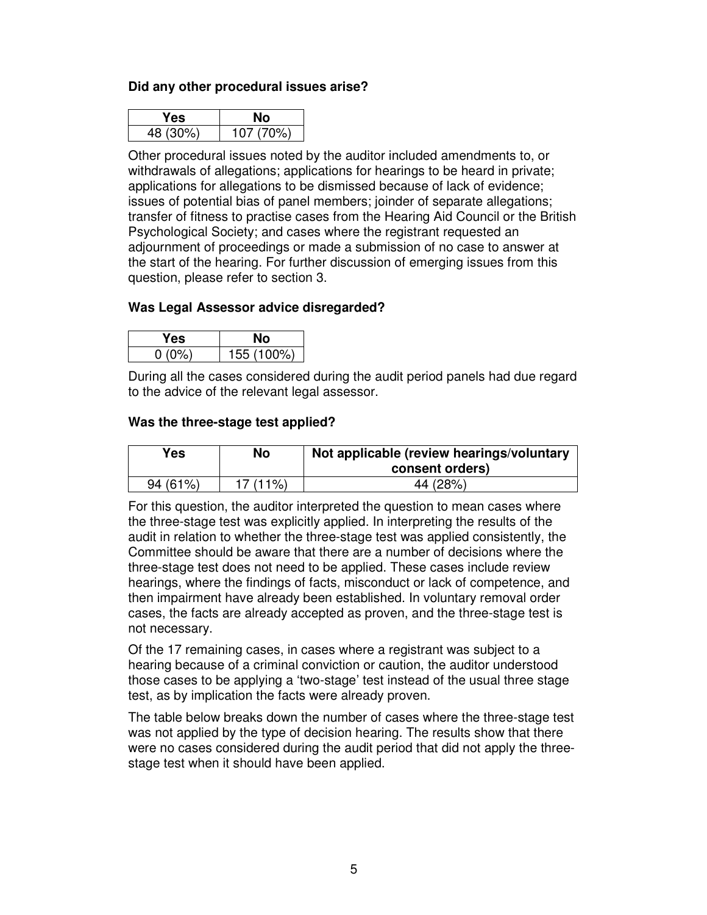#### **Did any other procedural issues arise?**

| °es      |           |
|----------|-----------|
| 48 (30%) | 107 (70%) |

Other procedural issues noted by the auditor included amendments to, or withdrawals of allegations; applications for hearings to be heard in private; applications for allegations to be dismissed because of lack of evidence; issues of potential bias of panel members; joinder of separate allegations; transfer of fitness to practise cases from the Hearing Aid Council or the British Psychological Society; and cases where the registrant requested an adjournment of proceedings or made a submission of no case to answer at the start of the hearing. For further discussion of emerging issues from this question, please refer to section 3.

#### **Was Legal Assessor advice disregarded?**

| es |            |
|----|------------|
|    | 155 (100%) |

During all the cases considered during the audit period panels had due regard to the advice of the relevant legal assessor.

#### **Was the three-stage test applied?**

| Yes     | No       | Not applicable (review hearings/voluntary<br>consent orders) |
|---------|----------|--------------------------------------------------------------|
| 94(61%) | 17 (11%) | 44 (28%)                                                     |

For this question, the auditor interpreted the question to mean cases where the three-stage test was explicitly applied. In interpreting the results of the audit in relation to whether the three-stage test was applied consistently, the Committee should be aware that there are a number of decisions where the three-stage test does not need to be applied. These cases include review hearings, where the findings of facts, misconduct or lack of competence, and then impairment have already been established. In voluntary removal order cases, the facts are already accepted as proven, and the three-stage test is not necessary.

Of the 17 remaining cases, in cases where a registrant was subject to a hearing because of a criminal conviction or caution, the auditor understood those cases to be applying a 'two-stage' test instead of the usual three stage test, as by implication the facts were already proven.

The table below breaks down the number of cases where the three-stage test was not applied by the type of decision hearing. The results show that there were no cases considered during the audit period that did not apply the threestage test when it should have been applied.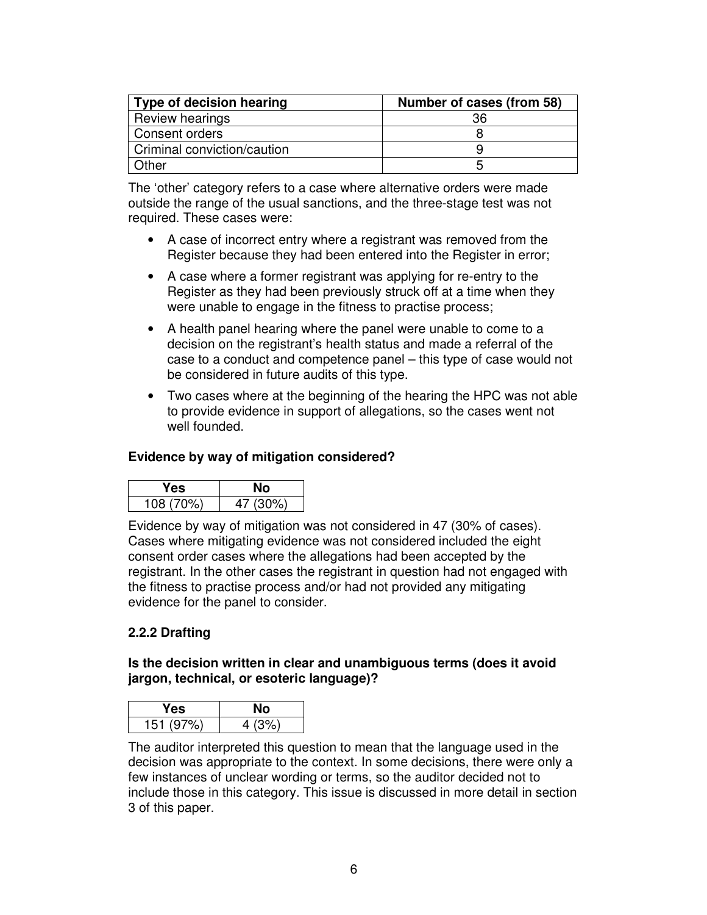| <b>Type of decision hearing</b> | Number of cases (from 58) |
|---------------------------------|---------------------------|
| Review hearings                 | 36                        |
| Consent orders                  |                           |
| Criminal conviction/caution     |                           |
| Other                           |                           |

The 'other' category refers to a case where alternative orders were made outside the range of the usual sanctions, and the three-stage test was not required. These cases were:

- A case of incorrect entry where a registrant was removed from the Register because they had been entered into the Register in error;
- A case where a former registrant was applying for re-entry to the Register as they had been previously struck off at a time when they were unable to engage in the fitness to practise process;
- A health panel hearing where the panel were unable to come to a decision on the registrant's health status and made a referral of the case to a conduct and competence panel – this type of case would not be considered in future audits of this type.
- Two cases where at the beginning of the hearing the HPC was not able to provide evidence in support of allegations, so the cases went not well founded.

#### **Evidence by way of mitigation considered?**

| res.      |          |
|-----------|----------|
| 108 (70%) | 47 (30%) |

Evidence by way of mitigation was not considered in 47 (30% of cases). Cases where mitigating evidence was not considered included the eight consent order cases where the allegations had been accepted by the registrant. In the other cases the registrant in question had not engaged with the fitness to practise process and/or had not provided any mitigating evidence for the panel to consider.

#### **2.2.2 Drafting**

#### **Is the decision written in clear and unambiguous terms (does it avoid jargon, technical, or esoteric language)?**

| res.      |       |
|-----------|-------|
| 151 (97%) | 4(3%) |

The auditor interpreted this question to mean that the language used in the decision was appropriate to the context. In some decisions, there were only a few instances of unclear wording or terms, so the auditor decided not to include those in this category. This issue is discussed in more detail in section 3 of this paper.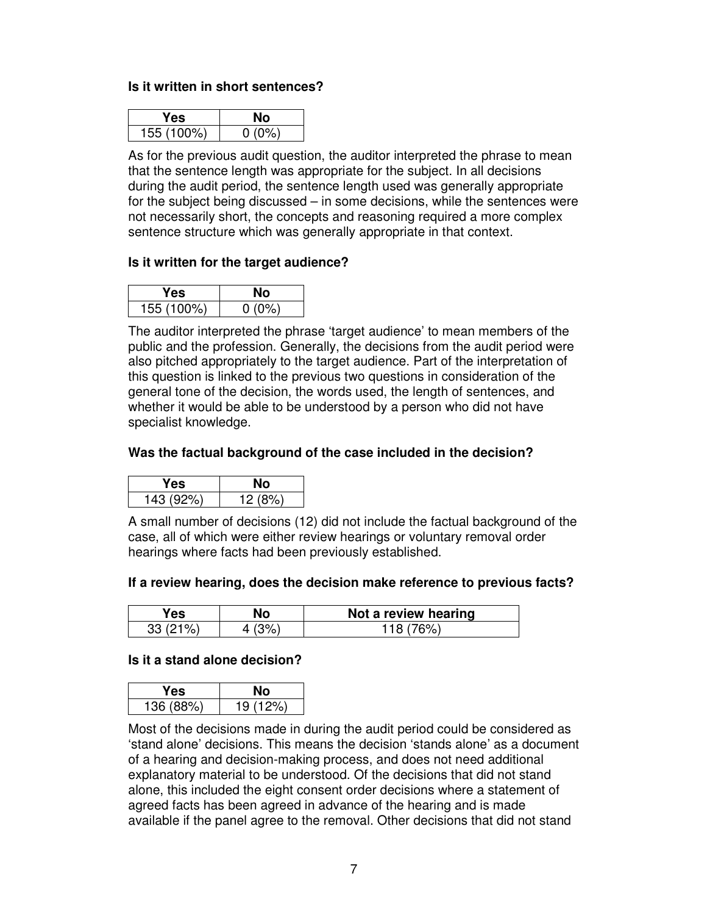#### **Is it written in short sentences?**

| 'es        |  |
|------------|--|
| 155 (100%) |  |

As for the previous audit question, the auditor interpreted the phrase to mean that the sentence length was appropriate for the subject. In all decisions during the audit period, the sentence length used was generally appropriate for the subject being discussed – in some decisions, while the sentences were not necessarily short, the concepts and reasoning required a more complex sentence structure which was generally appropriate in that context.

#### **Is it written for the target audience?**

| 7es.       |         |
|------------|---------|
| 155 (100%) | $0.0\%$ |

The auditor interpreted the phrase 'target audience' to mean members of the public and the profession. Generally, the decisions from the audit period were also pitched appropriately to the target audience. Part of the interpretation of this question is linked to the previous two questions in consideration of the general tone of the decision, the words used, the length of sentences, and whether it would be able to be understood by a person who did not have specialist knowledge.

#### **Was the factual background of the case included in the decision?**

| res.      |        |
|-----------|--------|
| 143 (92%) | 12(8%) |

A small number of decisions (12) did not include the factual background of the case, all of which were either review hearings or voluntary removal order hearings where facts had been previously established.

#### **If a review hearing, does the decision make reference to previous facts?**

| Yes     | N٥ | Not a review hearing |
|---------|----|----------------------|
| $1\%$ . |    |                      |

#### **Is it a stand alone decision?**

| es        |                              |
|-----------|------------------------------|
| 136 (88%) | 19 <sub>1</sub><br>ר גער ד', |

Most of the decisions made in during the audit period could be considered as 'stand alone' decisions. This means the decision 'stands alone' as a document of a hearing and decision-making process, and does not need additional explanatory material to be understood. Of the decisions that did not stand alone, this included the eight consent order decisions where a statement of agreed facts has been agreed in advance of the hearing and is made available if the panel agree to the removal. Other decisions that did not stand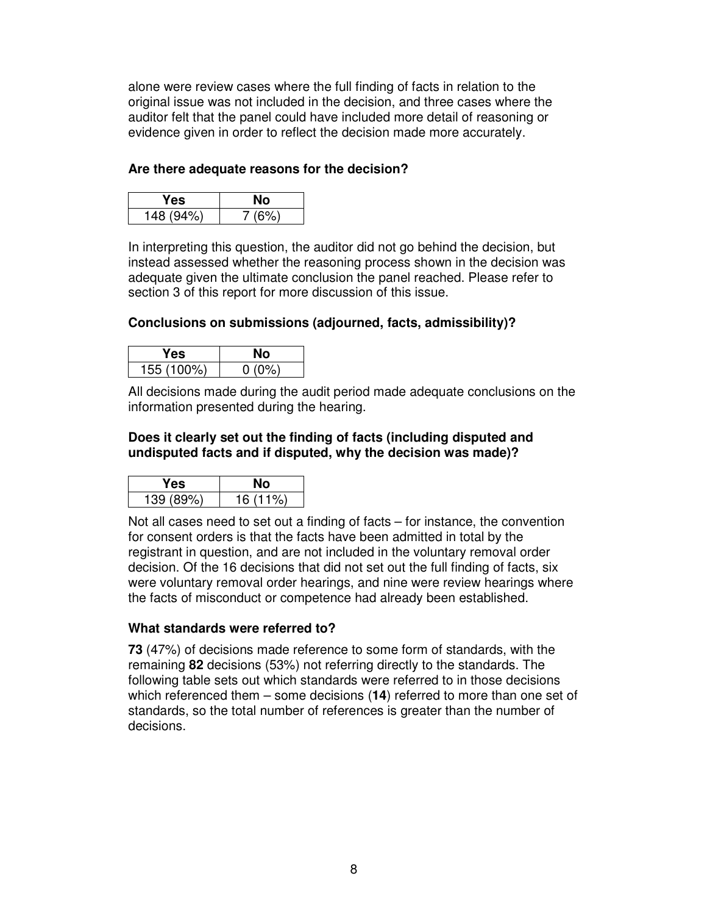alone were review cases where the full finding of facts in relation to the original issue was not included in the decision, and three cases where the auditor felt that the panel could have included more detail of reasoning or evidence given in order to reflect the decision made more accurately.

#### **Are there adequate reasons for the decision?**

| res       | NΟ    |
|-----------|-------|
| 148 (94%) | 7(6%) |

In interpreting this question, the auditor did not go behind the decision, but instead assessed whether the reasoning process shown in the decision was adequate given the ultimate conclusion the panel reached. Please refer to section 3 of this report for more discussion of this issue.

#### **Conclusions on submissions (adjourned, facts, admissibility)?**

| es.        |      |
|------------|------|
| 155 (100%) | 0(0% |

All decisions made during the audit period made adequate conclusions on the information presented during the hearing.

#### **Does it clearly set out the finding of facts (including disputed and undisputed facts and if disputed, why the decision was made)?**

| es.       |           |
|-----------|-----------|
| 139 (89%) | $16(11\%$ |

Not all cases need to set out a finding of facts – for instance, the convention for consent orders is that the facts have been admitted in total by the registrant in question, and are not included in the voluntary removal order decision. Of the 16 decisions that did not set out the full finding of facts, six were voluntary removal order hearings, and nine were review hearings where the facts of misconduct or competence had already been established.

#### **What standards were referred to?**

**73** (47%) of decisions made reference to some form of standards, with the remaining **82** decisions (53%) not referring directly to the standards. The following table sets out which standards were referred to in those decisions which referenced them – some decisions (**14**) referred to more than one set of standards, so the total number of references is greater than the number of decisions.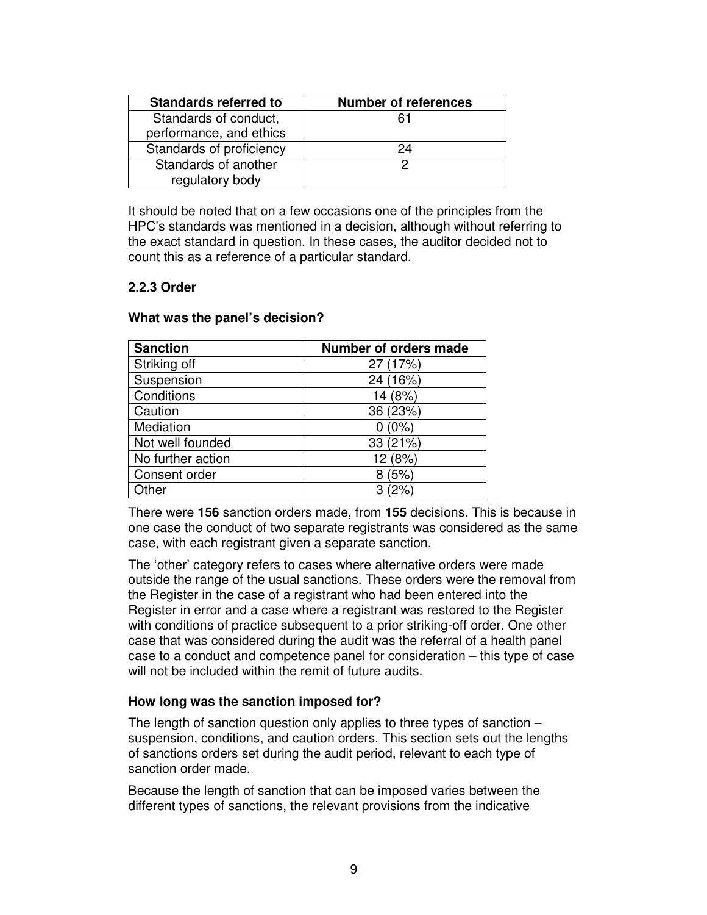| <b>Standards referred to</b> | <b>Number of references</b> |
|------------------------------|-----------------------------|
| Standards of conduct,        | 61                          |
| performance, and ethics      |                             |
| Standards of proficiency     | 24                          |
| Standards of another         |                             |
| regulatory body              |                             |

It should be noted that on a few occasions one of the principles from the HPC's standards was mentioned in a decision, although without referring to the exact standard in question. In these cases, the auditor decided not to count this as a reference of a particular standard.

#### **2.2.3 Order**

#### **What was the panel's decision?**

| <b>Sanction</b>   | Number of orders made |
|-------------------|-----------------------|
| Striking off      | 27 (17%)              |
| Suspension        | 24 (16%)              |
| Conditions        | 14 (8%)               |
| Caution           | 36 (23%)              |
| Mediation         | $0(0\%)$              |
| Not well founded  | 33 (21%)              |
| No further action | 12 (8%)               |
| Consent order     | 8(5%)                 |
| Other             | (2%<br>З              |

There were **156** sanction orders made, from **155** decisions. This is because in one case the conduct of two separate registrants was considered as the same case, with each registrant given a separate sanction.

The 'other' category refers to cases where alternative orders were made outside the range of the usual sanctions. These orders were the removal from the Register in the case of a registrant who had been entered into the Register in error and a case where a registrant was restored to the Register with conditions of practice subsequent to a prior striking-off order. One other case that was considered during the audit was the referral of a health panel case to a conduct and competence panel for consideration – this type of case will not be included within the remit of future audits.

#### **How long was the sanction imposed for?**

The length of sanction question only applies to three types of sanction – suspension, conditions, and caution orders. This section sets out the lengths of sanctions orders set during the audit period, relevant to each type of sanction order made.

Because the length of sanction that can be imposed varies between the different types of sanctions, the relevant provisions from the indicative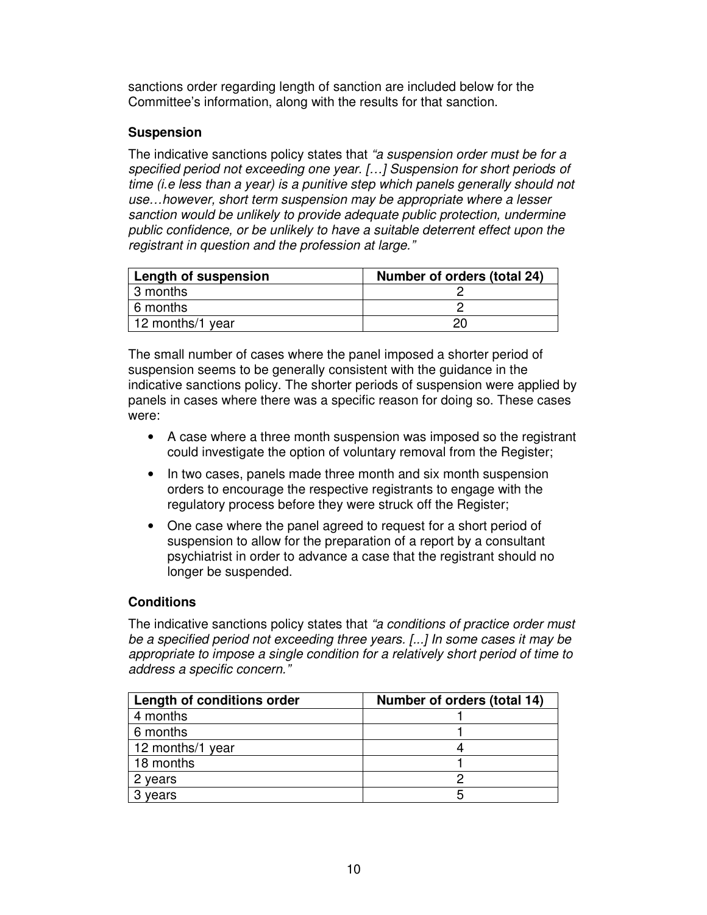sanctions order regarding length of sanction are included below for the Committee's information, along with the results for that sanction.

#### **Suspension**

The indicative sanctions policy states that "a suspension order must be for a specified period not exceeding one year. […] Suspension for short periods of time (i.e less than a year) is a punitive step which panels generally should not use…however, short term suspension may be appropriate where a lesser sanction would be unlikely to provide adequate public protection, undermine public confidence, or be unlikely to have a suitable deterrent effect upon the registrant in question and the profession at large."

| Length of suspension | Number of orders (total 24) |
|----------------------|-----------------------------|
| 3 months             |                             |
| 6 months             |                             |
| 12 months/1 year     |                             |

The small number of cases where the panel imposed a shorter period of suspension seems to be generally consistent with the guidance in the indicative sanctions policy. The shorter periods of suspension were applied by panels in cases where there was a specific reason for doing so. These cases were:

- A case where a three month suspension was imposed so the registrant could investigate the option of voluntary removal from the Register;
- In two cases, panels made three month and six month suspension orders to encourage the respective registrants to engage with the regulatory process before they were struck off the Register;
- One case where the panel agreed to request for a short period of suspension to allow for the preparation of a report by a consultant psychiatrist in order to advance a case that the registrant should no longer be suspended.

#### **Conditions**

The indicative sanctions policy states that "a conditions of practice order must" be a specified period not exceeding three years. [...] In some cases it may be appropriate to impose a single condition for a relatively short period of time to address a specific concern."

| Length of conditions order | Number of orders (total 14) |
|----------------------------|-----------------------------|
| 4 months                   |                             |
| 6 months                   |                             |
| 12 months/1 year           |                             |
| 18 months                  |                             |
| 2 years                    |                             |
| years                      |                             |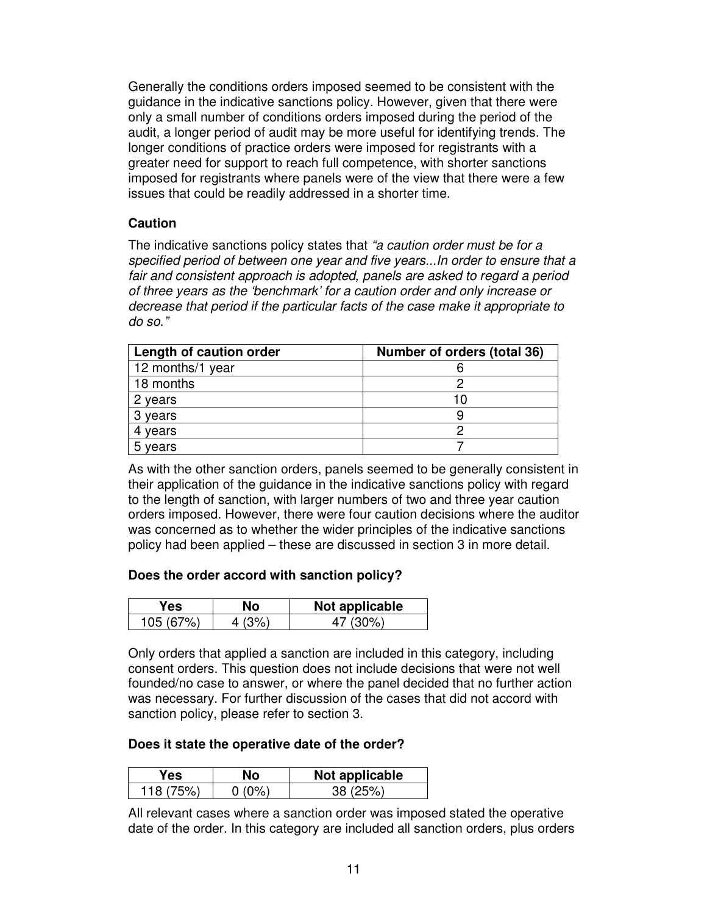Generally the conditions orders imposed seemed to be consistent with the guidance in the indicative sanctions policy. However, given that there were only a small number of conditions orders imposed during the period of the audit, a longer period of audit may be more useful for identifying trends. The longer conditions of practice orders were imposed for registrants with a greater need for support to reach full competence, with shorter sanctions imposed for registrants where panels were of the view that there were a few issues that could be readily addressed in a shorter time.

#### **Caution**

The indicative sanctions policy states that "a caution order must be for a specified period of between one year and five years...In order to ensure that a fair and consistent approach is adopted, panels are asked to regard a period of three years as the 'benchmark' for a caution order and only increase or decrease that period if the particular facts of the case make it appropriate to do so."

| Length of caution order | Number of orders (total 36) |
|-------------------------|-----------------------------|
| 12 months/1 year        |                             |
| 18 months               |                             |
| 2 years                 | 10                          |
| 3 years                 |                             |
| 4 years                 |                             |
| 5 years                 |                             |

As with the other sanction orders, panels seemed to be generally consistent in their application of the guidance in the indicative sanctions policy with regard to the length of sanction, with larger numbers of two and three year caution orders imposed. However, there were four caution decisions where the auditor was concerned as to whether the wider principles of the indicative sanctions policy had been applied – these are discussed in section 3 in more detail.

#### **Does the order accord with sanction policy?**

| res | NO. | Not applicable |
|-----|-----|----------------|
|     |     | 7U0\~          |

Only orders that applied a sanction are included in this category, including consent orders. This question does not include decisions that were not well founded/no case to answer, or where the panel decided that no further action was necessary. For further discussion of the cases that did not accord with sanction policy, please refer to section 3.

#### **Does it state the operative date of the order?**

| 'es | Not applicable |
|-----|----------------|
|     |                |

All relevant cases where a sanction order was imposed stated the operative date of the order. In this category are included all sanction orders, plus orders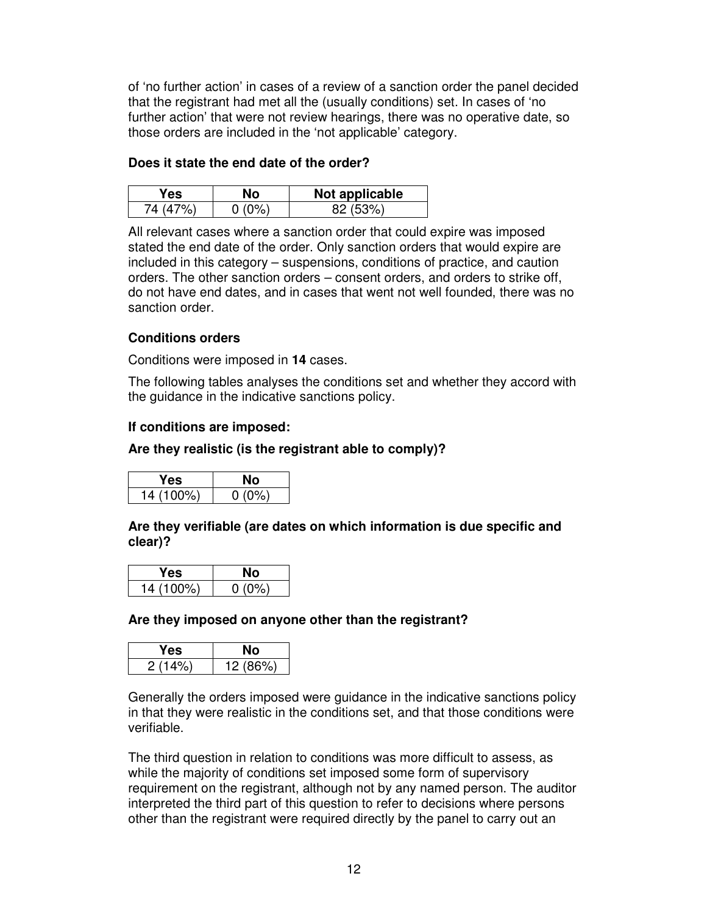of 'no further action' in cases of a review of a sanction order the panel decided that the registrant had met all the (usually conditions) set. In cases of 'no further action' that were not review hearings, there was no operative date, so those orders are included in the 'not applicable' category.

#### **Does it state the end date of the order?**

| Yes      | Nο       | Not applicable |
|----------|----------|----------------|
| 74 (47%) | $0(0\%)$ | 82(53%)        |

All relevant cases where a sanction order that could expire was imposed stated the end date of the order. Only sanction orders that would expire are included in this category – suspensions, conditions of practice, and caution orders. The other sanction orders – consent orders, and orders to strike off, do not have end dates, and in cases that went not well founded, there was no sanction order.

#### **Conditions orders**

Conditions were imposed in **14** cases.

The following tables analyses the conditions set and whether they accord with the guidance in the indicative sanctions policy.

#### **If conditions are imposed:**

#### **Are they realistic (is the registrant able to comply)?**

| res.      |          |
|-----------|----------|
| 14 (100%) | $0(0\%)$ |

**Are they verifiable (are dates on which information is due specific and clear)?** 

| es        |      |
|-----------|------|
| 14 (100%) | - 02 |

#### **Are they imposed on anyone other than the registrant?**

| es.  |          |
|------|----------|
| 1′ פ | 12 (86%) |

Generally the orders imposed were guidance in the indicative sanctions policy in that they were realistic in the conditions set, and that those conditions were verifiable.

The third question in relation to conditions was more difficult to assess, as while the majority of conditions set imposed some form of supervisory requirement on the registrant, although not by any named person. The auditor interpreted the third part of this question to refer to decisions where persons other than the registrant were required directly by the panel to carry out an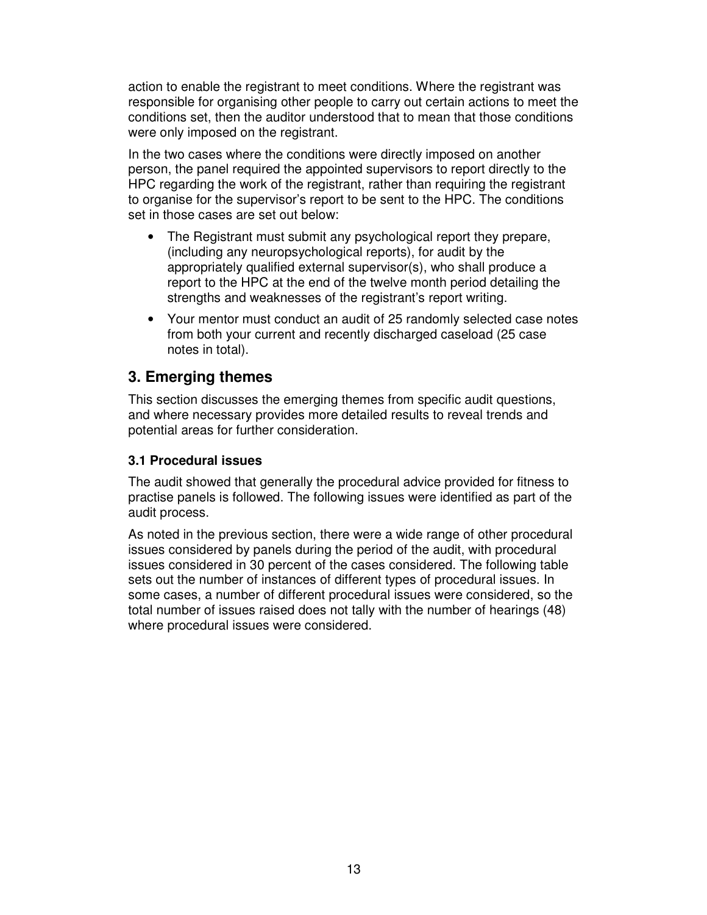action to enable the registrant to meet conditions. Where the registrant was responsible for organising other people to carry out certain actions to meet the conditions set, then the auditor understood that to mean that those conditions were only imposed on the registrant.

In the two cases where the conditions were directly imposed on another person, the panel required the appointed supervisors to report directly to the HPC regarding the work of the registrant, rather than requiring the registrant to organise for the supervisor's report to be sent to the HPC. The conditions set in those cases are set out below:

- The Registrant must submit any psychological report they prepare, (including any neuropsychological reports), for audit by the appropriately qualified external supervisor(s), who shall produce a report to the HPC at the end of the twelve month period detailing the strengths and weaknesses of the registrant's report writing.
- Your mentor must conduct an audit of 25 randomly selected case notes from both your current and recently discharged caseload (25 case notes in total).

### **3. Emerging themes**

This section discusses the emerging themes from specific audit questions, and where necessary provides more detailed results to reveal trends and potential areas for further consideration.

#### **3.1 Procedural issues**

The audit showed that generally the procedural advice provided for fitness to practise panels is followed. The following issues were identified as part of the audit process.

As noted in the previous section, there were a wide range of other procedural issues considered by panels during the period of the audit, with procedural issues considered in 30 percent of the cases considered. The following table sets out the number of instances of different types of procedural issues. In some cases, a number of different procedural issues were considered, so the total number of issues raised does not tally with the number of hearings (48) where procedural issues were considered.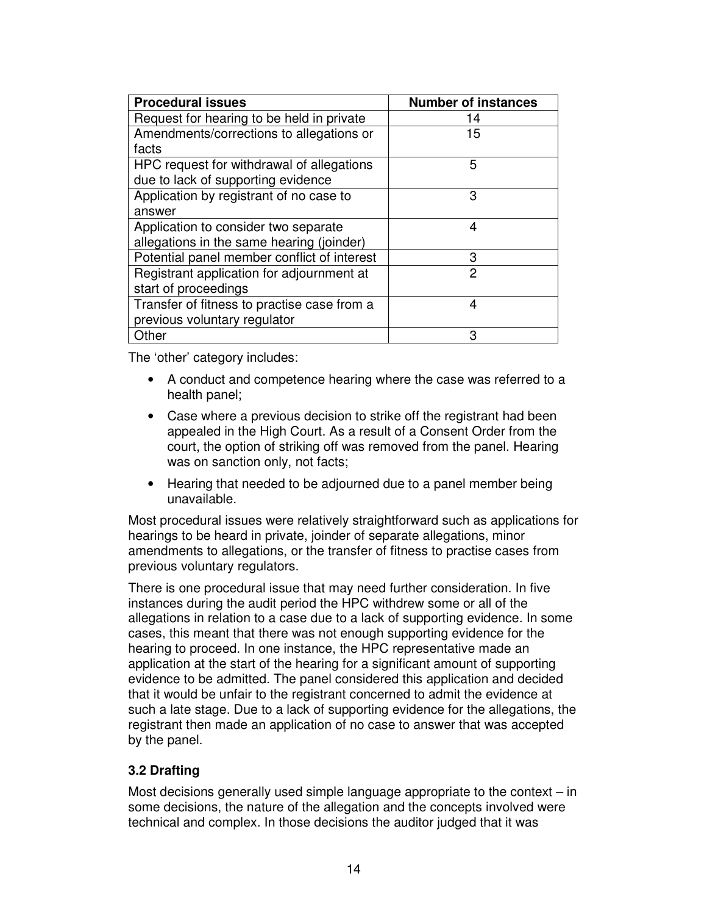| <b>Procedural issues</b>                    | <b>Number of instances</b> |
|---------------------------------------------|----------------------------|
| Request for hearing to be held in private   | 14                         |
| Amendments/corrections to allegations or    | 15                         |
| facts                                       |                            |
| HPC request for withdrawal of allegations   | 5                          |
| due to lack of supporting evidence          |                            |
| Application by registrant of no case to     | 3                          |
| answer                                      |                            |
| Application to consider two separate        | 4                          |
| allegations in the same hearing (joinder)   |                            |
| Potential panel member conflict of interest | 3                          |
| Registrant application for adjournment at   | 2                          |
| start of proceedings                        |                            |
| Transfer of fitness to practise case from a | 4                          |
| previous voluntary regulator                |                            |
| Other                                       | 3                          |

The 'other' category includes:

- A conduct and competence hearing where the case was referred to a health panel;
- Case where a previous decision to strike off the registrant had been appealed in the High Court. As a result of a Consent Order from the court, the option of striking off was removed from the panel. Hearing was on sanction only, not facts;
- Hearing that needed to be adjourned due to a panel member being unavailable.

Most procedural issues were relatively straightforward such as applications for hearings to be heard in private, joinder of separate allegations, minor amendments to allegations, or the transfer of fitness to practise cases from previous voluntary regulators.

There is one procedural issue that may need further consideration. In five instances during the audit period the HPC withdrew some or all of the allegations in relation to a case due to a lack of supporting evidence. In some cases, this meant that there was not enough supporting evidence for the hearing to proceed. In one instance, the HPC representative made an application at the start of the hearing for a significant amount of supporting evidence to be admitted. The panel considered this application and decided that it would be unfair to the registrant concerned to admit the evidence at such a late stage. Due to a lack of supporting evidence for the allegations, the registrant then made an application of no case to answer that was accepted by the panel.

#### **3.2 Drafting**

Most decisions generally used simple language appropriate to the context – in some decisions, the nature of the allegation and the concepts involved were technical and complex. In those decisions the auditor judged that it was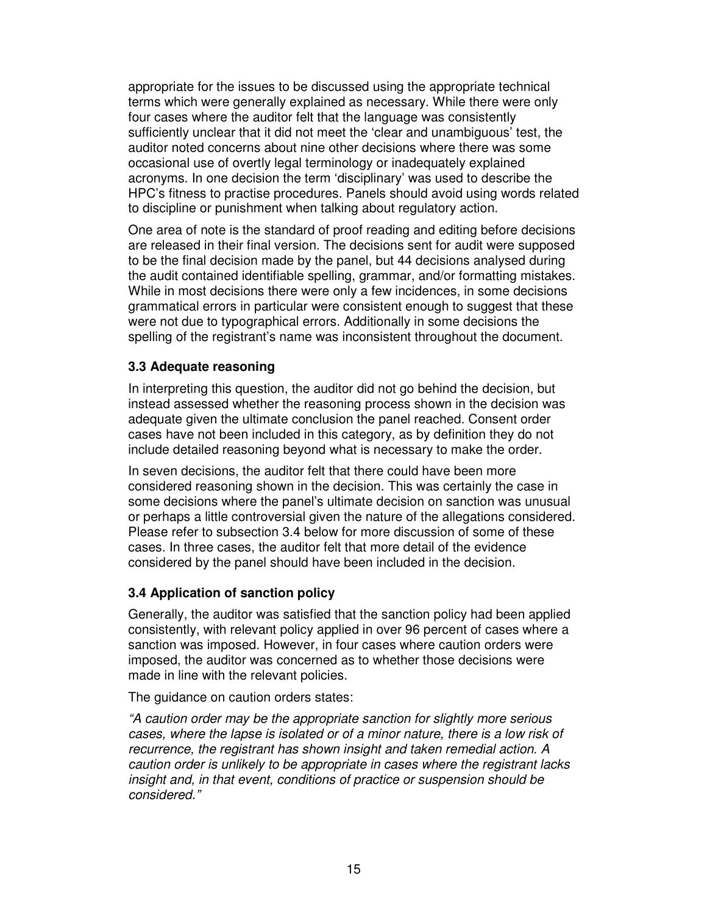appropriate for the issues to be discussed using the appropriate technical terms which were generally explained as necessary. While there were only four cases where the auditor felt that the language was consistently sufficiently unclear that it did not meet the 'clear and unambiguous' test, the auditor noted concerns about nine other decisions where there was some occasional use of overtly legal terminology or inadequately explained acronyms. In one decision the term 'disciplinary' was used to describe the HPC's fitness to practise procedures. Panels should avoid using words related to discipline or punishment when talking about regulatory action.

One area of note is the standard of proof reading and editing before decisions are released in their final version. The decisions sent for audit were supposed to be the final decision made by the panel, but 44 decisions analysed during the audit contained identifiable spelling, grammar, and/or formatting mistakes. While in most decisions there were only a few incidences, in some decisions grammatical errors in particular were consistent enough to suggest that these were not due to typographical errors. Additionally in some decisions the spelling of the registrant's name was inconsistent throughout the document.

#### **3.3 Adequate reasoning**

In interpreting this question, the auditor did not go behind the decision, but instead assessed whether the reasoning process shown in the decision was adequate given the ultimate conclusion the panel reached. Consent order cases have not been included in this category, as by definition they do not include detailed reasoning beyond what is necessary to make the order.

In seven decisions, the auditor felt that there could have been more considered reasoning shown in the decision. This was certainly the case in some decisions where the panel's ultimate decision on sanction was unusual or perhaps a little controversial given the nature of the allegations considered. Please refer to subsection 3.4 below for more discussion of some of these cases. In three cases, the auditor felt that more detail of the evidence considered by the panel should have been included in the decision.

#### **3.4 Application of sanction policy**

Generally, the auditor was satisfied that the sanction policy had been applied consistently, with relevant policy applied in over 96 percent of cases where a sanction was imposed. However, in four cases where caution orders were imposed, the auditor was concerned as to whether those decisions were made in line with the relevant policies.

The guidance on caution orders states:

"A caution order may be the appropriate sanction for slightly more serious cases, where the lapse is isolated or of a minor nature, there is a low risk of recurrence, the registrant has shown insight and taken remedial action. A caution order is unlikely to be appropriate in cases where the registrant lacks insight and, in that event, conditions of practice or suspension should be considered."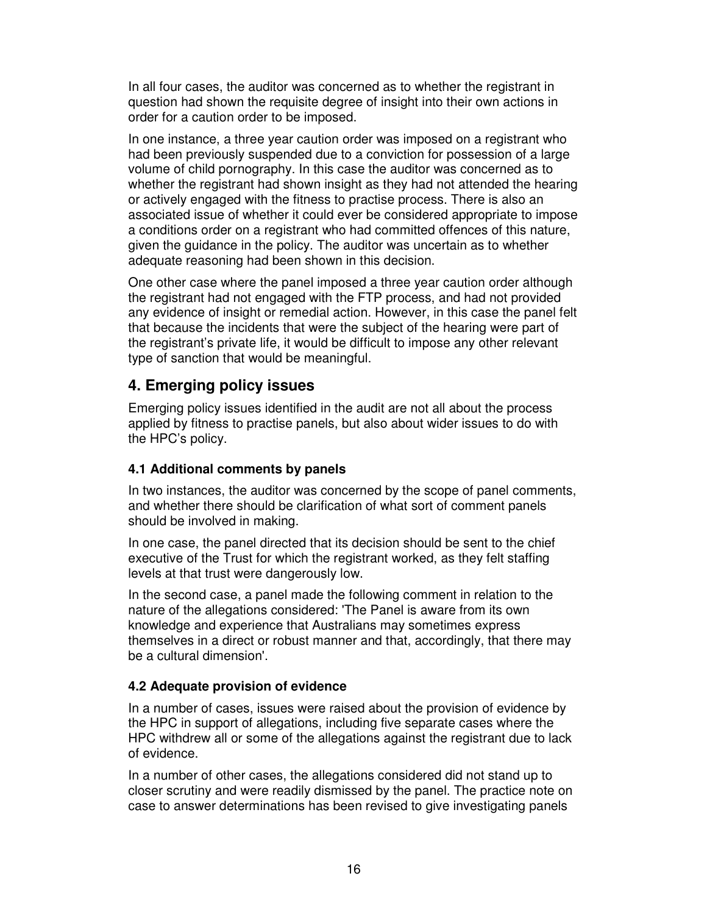In all four cases, the auditor was concerned as to whether the registrant in question had shown the requisite degree of insight into their own actions in order for a caution order to be imposed.

In one instance, a three year caution order was imposed on a registrant who had been previously suspended due to a conviction for possession of a large volume of child pornography. In this case the auditor was concerned as to whether the registrant had shown insight as they had not attended the hearing or actively engaged with the fitness to practise process. There is also an associated issue of whether it could ever be considered appropriate to impose a conditions order on a registrant who had committed offences of this nature, given the guidance in the policy. The auditor was uncertain as to whether adequate reasoning had been shown in this decision.

One other case where the panel imposed a three year caution order although the registrant had not engaged with the FTP process, and had not provided any evidence of insight or remedial action. However, in this case the panel felt that because the incidents that were the subject of the hearing were part of the registrant's private life, it would be difficult to impose any other relevant type of sanction that would be meaningful.

### **4. Emerging policy issues**

Emerging policy issues identified in the audit are not all about the process applied by fitness to practise panels, but also about wider issues to do with the HPC's policy.

#### **4.1 Additional comments by panels**

In two instances, the auditor was concerned by the scope of panel comments, and whether there should be clarification of what sort of comment panels should be involved in making.

In one case, the panel directed that its decision should be sent to the chief executive of the Trust for which the registrant worked, as they felt staffing levels at that trust were dangerously low.

In the second case, a panel made the following comment in relation to the nature of the allegations considered: 'The Panel is aware from its own knowledge and experience that Australians may sometimes express themselves in a direct or robust manner and that, accordingly, that there may be a cultural dimension'.

#### **4.2 Adequate provision of evidence**

In a number of cases, issues were raised about the provision of evidence by the HPC in support of allegations, including five separate cases where the HPC withdrew all or some of the allegations against the registrant due to lack of evidence.

In a number of other cases, the allegations considered did not stand up to closer scrutiny and were readily dismissed by the panel. The practice note on case to answer determinations has been revised to give investigating panels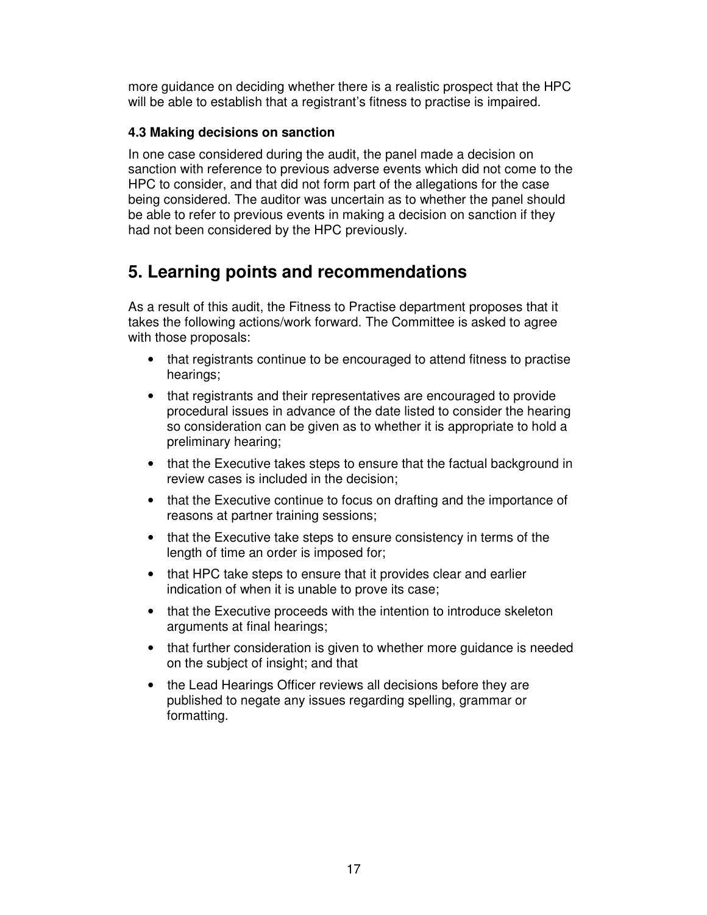more guidance on deciding whether there is a realistic prospect that the HPC will be able to establish that a registrant's fitness to practise is impaired.

#### **4.3 Making decisions on sanction**

In one case considered during the audit, the panel made a decision on sanction with reference to previous adverse events which did not come to the HPC to consider, and that did not form part of the allegations for the case being considered. The auditor was uncertain as to whether the panel should be able to refer to previous events in making a decision on sanction if they had not been considered by the HPC previously.

# **5. Learning points and recommendations**

As a result of this audit, the Fitness to Practise department proposes that it takes the following actions/work forward. The Committee is asked to agree with those proposals:

- that registrants continue to be encouraged to attend fitness to practise hearings;
- that registrants and their representatives are encouraged to provide procedural issues in advance of the date listed to consider the hearing so consideration can be given as to whether it is appropriate to hold a preliminary hearing;
- that the Executive takes steps to ensure that the factual background in review cases is included in the decision;
- that the Executive continue to focus on drafting and the importance of reasons at partner training sessions;
- that the Executive take steps to ensure consistency in terms of the length of time an order is imposed for;
- that HPC take steps to ensure that it provides clear and earlier indication of when it is unable to prove its case;
- that the Executive proceeds with the intention to introduce skeleton arguments at final hearings;
- that further consideration is given to whether more guidance is needed on the subject of insight; and that
- the Lead Hearings Officer reviews all decisions before they are published to negate any issues regarding spelling, grammar or formatting.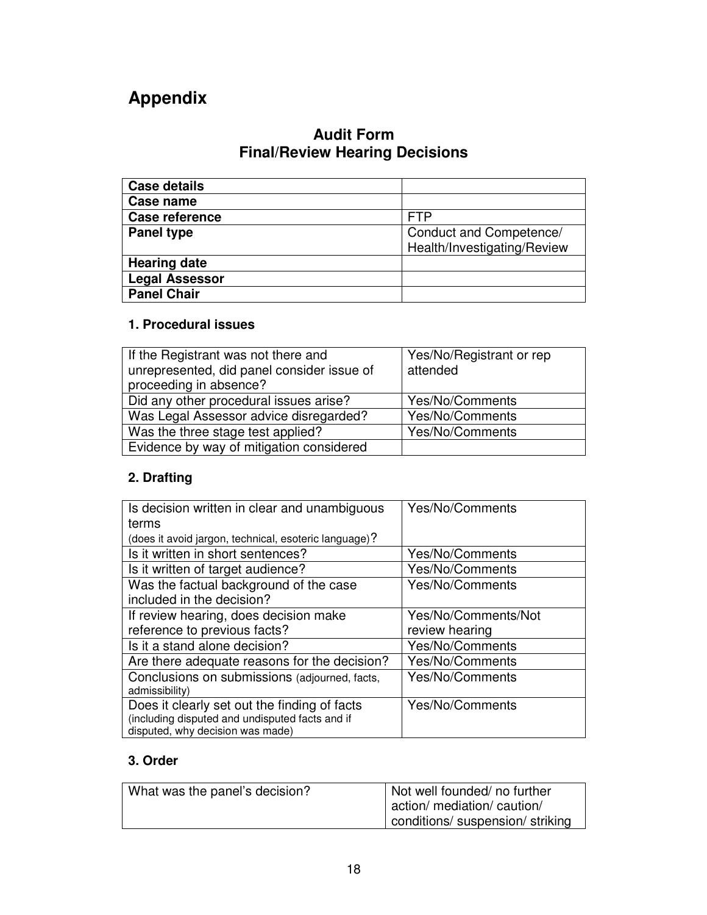# **Appendix**

## **Audit Form Final/Review Hearing Decisions**

| <b>Case details</b>   |                                                        |
|-----------------------|--------------------------------------------------------|
| Case name             |                                                        |
| Case reference        | <b>FTP</b>                                             |
| <b>Panel type</b>     | Conduct and Competence/<br>Health/Investigating/Review |
| <b>Hearing date</b>   |                                                        |
| <b>Legal Assessor</b> |                                                        |
| <b>Panel Chair</b>    |                                                        |

### **1. Procedural issues**

| If the Registrant was not there and        | Yes/No/Registrant or rep |
|--------------------------------------------|--------------------------|
| unrepresented, did panel consider issue of | attended                 |
| proceeding in absence?                     |                          |
| Did any other procedural issues arise?     | Yes/No/Comments          |
| Was Legal Assessor advice disregarded?     | Yes/No/Comments          |
| Was the three stage test applied?          | Yes/No/Comments          |
| Evidence by way of mitigation considered   |                          |

### **2. Drafting**

| Is decision written in clear and unambiguous<br>terms                                                                               | Yes/No/Comments     |
|-------------------------------------------------------------------------------------------------------------------------------------|---------------------|
| (does it avoid jargon, technical, esoteric language)?                                                                               |                     |
| Is it written in short sentences?                                                                                                   | Yes/No/Comments     |
| Is it written of target audience?                                                                                                   | Yes/No/Comments     |
| Was the factual background of the case<br>included in the decision?                                                                 | Yes/No/Comments     |
| If review hearing, does decision make                                                                                               | Yes/No/Comments/Not |
| reference to previous facts?                                                                                                        | review hearing      |
| Is it a stand alone decision?                                                                                                       | Yes/No/Comments     |
| Are there adequate reasons for the decision?                                                                                        | Yes/No/Comments     |
| Conclusions on submissions (adjourned, facts,<br>admissibility)                                                                     | Yes/No/Comments     |
| Does it clearly set out the finding of facts<br>(including disputed and undisputed facts and if<br>disputed, why decision was made) | Yes/No/Comments     |

### **3. Order**

| What was the panel's decision? | Not well founded/ no further     |
|--------------------------------|----------------------------------|
|                                | action/ mediation/ caution/      |
|                                | conditions/ suspension/ striking |